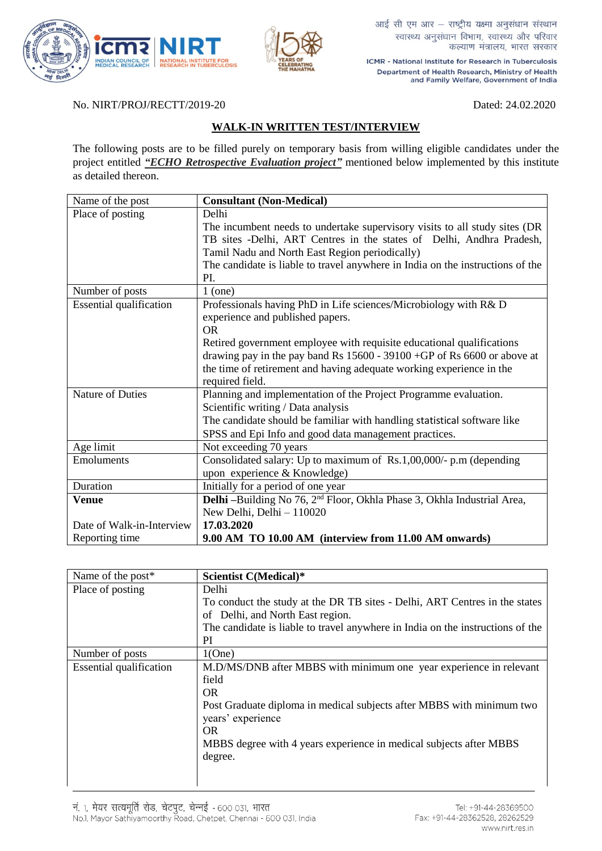



आई सी एम आर - राष्ट्रीय यक्ष्मा अनुसंधान संस्थान स्वास्थ्य अनुसंधान विभाग, स्वास्थ्य और परिवार कल्याण मंत्रालय, भारत सरकार

ICMR - National Institute for Research in Tuberculosis Department of Health Research, Ministry of Health and Family Welfare, Government of India

No. NIRT/PROJ/RECTT/2019-20 Dated: 24.02.2020

## **WALK-IN WRITTEN TEST/INTERVIEW**

The following posts are to be filled purely on temporary basis from willing eligible candidates under the project entitled *"ECHO Retrospective Evaluation project"* mentioned below implemented by this institute as detailed thereon.

| Name of the post               | <b>Consultant (Non-Medical)</b>                                                     |
|--------------------------------|-------------------------------------------------------------------------------------|
| Place of posting               | Delhi                                                                               |
|                                | The incumbent needs to undertake supervisory visits to all study sites (DR          |
|                                | TB sites -Delhi, ART Centres in the states of Delhi, Andhra Pradesh,                |
|                                | Tamil Nadu and North East Region periodically)                                      |
|                                | The candidate is liable to travel anywhere in India on the instructions of the      |
|                                | PI.                                                                                 |
| Number of posts                | $1$ (one)                                                                           |
| <b>Essential qualification</b> | Professionals having PhD in Life sciences/Microbiology with R& D                    |
|                                | experience and published papers.                                                    |
|                                | <b>OR</b>                                                                           |
|                                | Retired government employee with requisite educational qualifications               |
|                                | drawing pay in the pay band Rs $15600 - 39100 + GP$ of Rs 6600 or above at          |
|                                | the time of retirement and having adequate working experience in the                |
|                                | required field.                                                                     |
| Nature of Duties               | Planning and implementation of the Project Programme evaluation.                    |
|                                | Scientific writing / Data analysis                                                  |
|                                | The candidate should be familiar with handling statistical software like            |
|                                | SPSS and Epi Info and good data management practices.                               |
| Age limit                      | Not exceeding 70 years                                                              |
| Emoluments                     | Consolidated salary: Up to maximum of Rs.1,00,000/- p.m (depending                  |
|                                | upon experience & Knowledge)                                                        |
| Duration                       | Initially for a period of one year                                                  |
| <b>Venue</b>                   | Delhi -Building No 76, 2 <sup>nd</sup> Floor, Okhla Phase 3, Okhla Industrial Area, |
|                                | New Delhi, Delhi - 110020                                                           |
| Date of Walk-in-Interview      | 17.03.2020                                                                          |
| Reporting time                 | 9.00 AM TO 10.00 AM (interview from 11.00 AM onwards)                               |

| Name of the post*              | Scientist C(Medical)*                                                          |
|--------------------------------|--------------------------------------------------------------------------------|
| Place of posting               | Delhi                                                                          |
|                                | To conduct the study at the DR TB sites - Delhi, ART Centres in the states     |
|                                | of Delhi, and North East region.                                               |
|                                | The candidate is liable to travel anywhere in India on the instructions of the |
|                                | PI                                                                             |
| Number of posts                | 1(One)                                                                         |
| <b>Essential qualification</b> | M.D/MS/DNB after MBBS with minimum one year experience in relevant             |
|                                | field                                                                          |
|                                | <b>OR</b>                                                                      |
|                                | Post Graduate diploma in medical subjects after MBBS with minimum two          |
|                                | years' experience                                                              |
|                                | OR.                                                                            |
|                                | MBBS degree with 4 years experience in medical subjects after MBBS             |
|                                | degree.                                                                        |
|                                |                                                                                |
|                                |                                                                                |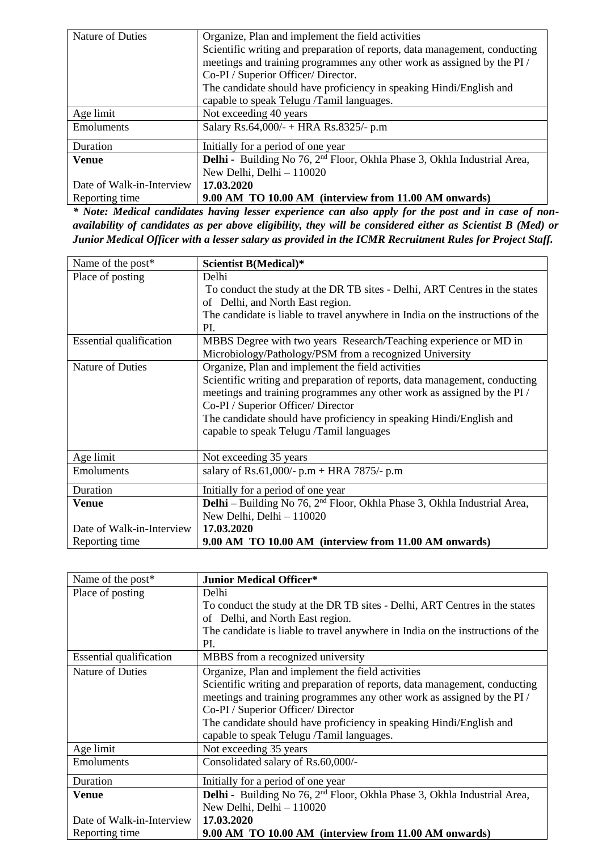| Nature of Duties          | Organize, Plan and implement the field activities                                    |
|---------------------------|--------------------------------------------------------------------------------------|
|                           | Scientific writing and preparation of reports, data management, conducting           |
|                           | meetings and training programmes any other work as assigned by the PI/               |
|                           | Co-PI / Superior Officer/ Director.                                                  |
|                           | The candidate should have proficiency in speaking Hindi/English and                  |
|                           | capable to speak Telugu /Tamil languages.                                            |
| Age limit                 | Not exceeding 40 years                                                               |
| <b>Emoluments</b>         | Salary Rs.64,000/- + HRA Rs.8325/- p.m                                               |
| Duration                  | Initially for a period of one year                                                   |
| <b>Venue</b>              | Delhi - Building No 76, 2 <sup>nd</sup> Floor, Okhla Phase 3, Okhla Industrial Area, |
|                           | New Delhi, Delhi - 110020                                                            |
| Date of Walk-in-Interview | 17.03.2020                                                                           |
| Reporting time            | 9.00 AM TO 10.00 AM (interview from 11.00 AM onwards)                                |

*\* Note: Medical candidates having lesser experience can also apply for the post and in case of nonavailability of candidates as per above eligibility, they will be considered either as Scientist B (Med) or Junior Medical Officer with a lesser salary as provided in the ICMR Recruitment Rules for Project Staff.*

| Name of the post*              | <b>Scientist B(Medical)*</b>                                                      |
|--------------------------------|-----------------------------------------------------------------------------------|
| Place of posting               | Delhi                                                                             |
|                                | To conduct the study at the DR TB sites - Delhi, ART Centres in the states        |
|                                | of Delhi, and North East region.                                                  |
|                                | The candidate is liable to travel anywhere in India on the instructions of the    |
|                                | PI.                                                                               |
| <b>Essential qualification</b> | MBBS Degree with two years Research/Teaching experience or MD in                  |
|                                | Microbiology/Pathology/PSM from a recognized University                           |
| Nature of Duties               | Organize, Plan and implement the field activities                                 |
|                                | Scientific writing and preparation of reports, data management, conducting        |
|                                | meetings and training programmes any other work as assigned by the PI /           |
|                                | Co-PI / Superior Officer/ Director                                                |
|                                | The candidate should have proficiency in speaking Hindi/English and               |
|                                | capable to speak Telugu /Tamil languages                                          |
|                                |                                                                                   |
| Age limit                      | Not exceeding 35 years                                                            |
| Emoluments                     | salary of Rs.61,000/- $p.m + HRA$ 7875/- $p.m$                                    |
| Duration                       | Initially for a period of one year                                                |
| <b>Venue</b>                   | <b>Delhi</b> – Building No 76, $2nd$ Floor, Okhla Phase 3, Okhla Industrial Area, |
|                                | New Delhi, Delhi - 110020                                                         |
| Date of Walk-in-Interview      | 17.03.2020                                                                        |
| Reporting time                 | 9.00 AM TO 10.00 AM (interview from 11.00 AM onwards)                             |

| Name of the post*              | <b>Junior Medical Officer*</b>                                                              |
|--------------------------------|---------------------------------------------------------------------------------------------|
| Place of posting               | Delhi                                                                                       |
|                                | To conduct the study at the DR TB sites - Delhi, ART Centres in the states                  |
|                                | of Delhi, and North East region.                                                            |
|                                | The candidate is liable to travel anywhere in India on the instructions of the              |
|                                | PI.                                                                                         |
| <b>Essential qualification</b> | MBBS from a recognized university                                                           |
| Nature of Duties               | Organize, Plan and implement the field activities                                           |
|                                | Scientific writing and preparation of reports, data management, conducting                  |
|                                | meetings and training programmes any other work as assigned by the PI /                     |
|                                | Co-PI / Superior Officer/ Director                                                          |
|                                | The candidate should have proficiency in speaking Hindi/English and                         |
|                                | capable to speak Telugu /Tamil languages.                                                   |
| Age limit                      | Not exceeding 35 years                                                                      |
| Emoluments                     | Consolidated salary of Rs.60,000/-                                                          |
| Duration                       | Initially for a period of one year                                                          |
| Venue                          | <b>Delhi</b> - Building No 76, 2 <sup>nd</sup> Floor, Okhla Phase 3, Okhla Industrial Area, |
|                                | New Delhi, Delhi - 110020                                                                   |
| Date of Walk-in-Interview      | 17.03.2020                                                                                  |
| Reporting time                 | 9.00 AM TO 10.00 AM (interview from 11.00 AM onwards)                                       |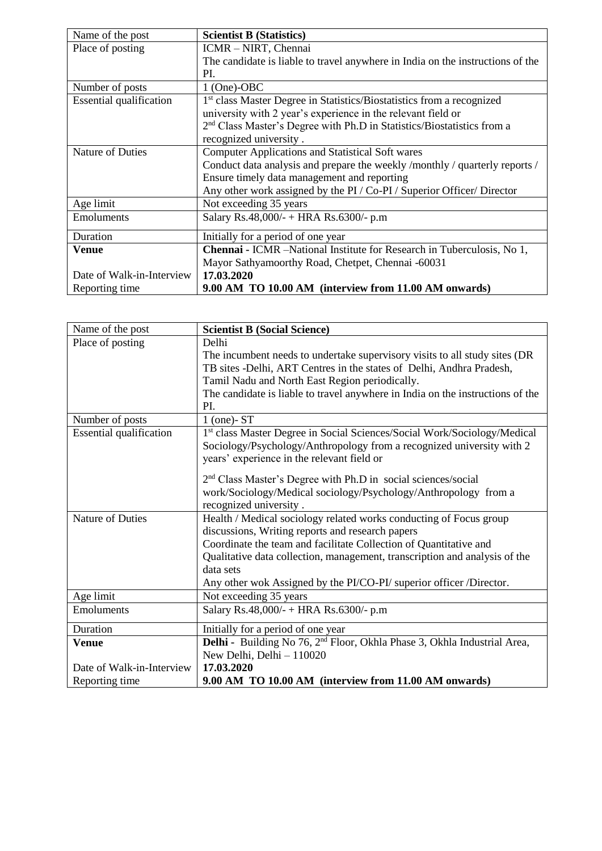| Name of the post               | <b>Scientist B (Statistics)</b>                                                    |
|--------------------------------|------------------------------------------------------------------------------------|
| Place of posting               | ICMR – NIRT, Chennai                                                               |
|                                | The candidate is liable to travel anywhere in India on the instructions of the     |
|                                | PI.                                                                                |
| Number of posts                | $1$ (One)-OBC                                                                      |
| <b>Essential qualification</b> | 1 <sup>st</sup> class Master Degree in Statistics/Biostatistics from a recognized  |
|                                | university with 2 year's experience in the relevant field or                       |
|                                | 2 <sup>nd</sup> Class Master's Degree with Ph.D in Statistics/Biostatistics from a |
|                                | recognized university.                                                             |
| Nature of Duties               | <b>Computer Applications and Statistical Soft wares</b>                            |
|                                | Conduct data analysis and prepare the weekly /monthly / quarterly reports /        |
|                                | Ensure timely data management and reporting                                        |
|                                | Any other work assigned by the PI / Co-PI / Superior Officer/ Director             |
| Age limit                      | Not exceeding 35 years                                                             |
| Emoluments                     | Salary Rs.48,000/- + HRA Rs.6300/- p.m                                             |
| Duration                       | Initially for a period of one year                                                 |
| Venue                          | <b>Chennai - ICMR</b> -National Institute for Research in Tuberculosis, No 1,      |
|                                | Mayor Sathyamoorthy Road, Chetpet, Chennai -60031                                  |
| Date of Walk-in-Interview      | 17.03.2020                                                                         |
| Reporting time                 | 9.00 AM TO 10.00 AM (interview from 11.00 AM onwards)                              |

| Name of the post               | <b>Scientist B (Social Science)</b>                                                         |
|--------------------------------|---------------------------------------------------------------------------------------------|
| Place of posting               | Delhi                                                                                       |
|                                | The incumbent needs to undertake supervisory visits to all study sites (DR                  |
|                                | TB sites -Delhi, ART Centres in the states of Delhi, Andhra Pradesh,                        |
|                                | Tamil Nadu and North East Region periodically.                                              |
|                                | The candidate is liable to travel anywhere in India on the instructions of the              |
|                                | PI.                                                                                         |
| Number of posts                | $1$ (one)- $ST$                                                                             |
| <b>Essential qualification</b> | 1st class Master Degree in Social Sciences/Social Work/Sociology/Medical                    |
|                                | Sociology/Psychology/Anthropology from a recognized university with 2                       |
|                                | years' experience in the relevant field or                                                  |
|                                | 2 <sup>nd</sup> Class Master's Degree with Ph.D in social sciences/social                   |
|                                | work/Sociology/Medical sociology/Psychology/Anthropology from a                             |
|                                | recognized university.                                                                      |
| <b>Nature of Duties</b>        | Health / Medical sociology related works conducting of Focus group                          |
|                                | discussions, Writing reports and research papers                                            |
|                                | Coordinate the team and facilitate Collection of Quantitative and                           |
|                                | Qualitative data collection, management, transcription and analysis of the                  |
|                                | data sets                                                                                   |
|                                | Any other wok Assigned by the PI/CO-PI/ superior officer /Director.                         |
| Age limit                      | Not exceeding 35 years                                                                      |
| Emoluments                     | Salary Rs.48,000/- + HRA Rs.6300/- p.m                                                      |
|                                |                                                                                             |
| Duration                       | Initially for a period of one year                                                          |
| <b>Venue</b>                   | <b>Delhi</b> - Building No 76, 2 <sup>nd</sup> Floor, Okhla Phase 3, Okhla Industrial Area, |
|                                | New Delhi, Delhi - 110020                                                                   |
| Date of Walk-in-Interview      | 17.03.2020                                                                                  |
| Reporting time                 | 9.00 AM TO 10.00 AM (interview from 11.00 AM onwards)                                       |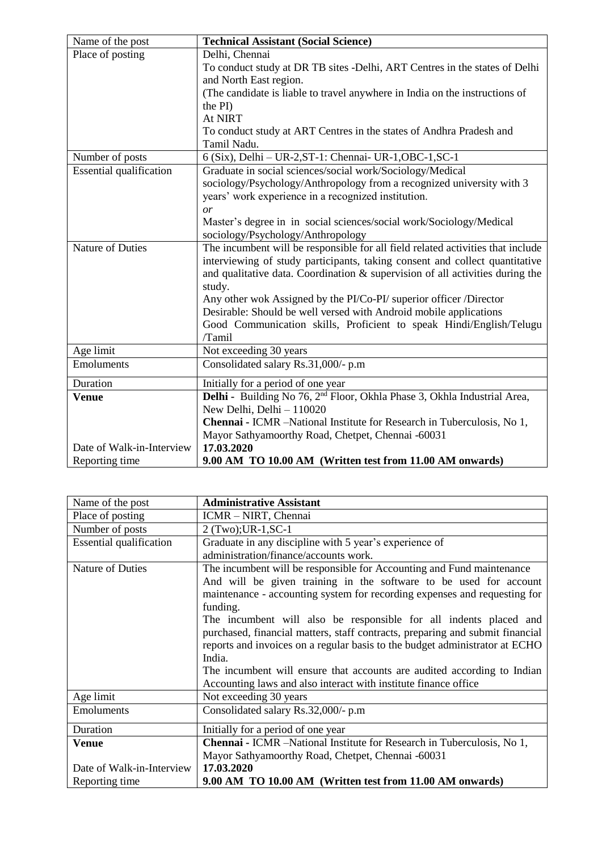| Name of the post               | <b>Technical Assistant (Social Science)</b>                                          |
|--------------------------------|--------------------------------------------------------------------------------------|
| Place of posting               | Delhi, Chennai                                                                       |
|                                | To conduct study at DR TB sites -Delhi, ART Centres in the states of Delhi           |
|                                | and North East region.                                                               |
|                                | (The candidate is liable to travel anywhere in India on the instructions of          |
|                                | the PI)                                                                              |
|                                | At NIRT                                                                              |
|                                | To conduct study at ART Centres in the states of Andhra Pradesh and                  |
|                                | Tamil Nadu.                                                                          |
| Number of posts                | 6 (Six), Delhi - UR-2, ST-1: Chennai- UR-1, OBC-1, SC-1                              |
| <b>Essential qualification</b> | Graduate in social sciences/social work/Sociology/Medical                            |
|                                | sociology/Psychology/Anthropology from a recognized university with 3                |
|                                | years' work experience in a recognized institution.                                  |
|                                | or                                                                                   |
|                                | Master's degree in in social sciences/social work/Sociology/Medical                  |
|                                | sociology/Psychology/Anthropology                                                    |
| <b>Nature of Duties</b>        | The incumbent will be responsible for all field related activities that include      |
|                                | interviewing of study participants, taking consent and collect quantitative          |
|                                | and qualitative data. Coordination $\&$ supervision of all activities during the     |
|                                | study.                                                                               |
|                                | Any other wok Assigned by the PI/Co-PI/ superior officer /Director                   |
|                                | Desirable: Should be well versed with Android mobile applications                    |
|                                | Good Communication skills, Proficient to speak Hindi/English/Telugu                  |
|                                | /Tamil                                                                               |
| Age limit                      | Not exceeding 30 years                                                               |
| Emoluments                     | Consolidated salary Rs.31,000/- p.m                                                  |
| Duration                       | Initially for a period of one year                                                   |
| <b>Venue</b>                   | Delhi - Building No 76, 2 <sup>nd</sup> Floor, Okhla Phase 3, Okhla Industrial Area, |
|                                | New Delhi, Delhi - 110020                                                            |
|                                | Chennai - ICMR -National Institute for Research in Tuberculosis, No 1,               |
|                                | Mayor Sathyamoorthy Road, Chetpet, Chennai -60031                                    |
| Date of Walk-in-Interview      | 17.03.2020                                                                           |
| Reporting time                 | 9.00 AM TO 10.00 AM (Written test from 11.00 AM onwards)                             |

| Name of the post               | <b>Administrative Assistant</b>                                               |
|--------------------------------|-------------------------------------------------------------------------------|
| Place of posting               | ICMR - NIRT, Chennai                                                          |
| Number of posts                | 2 (Two); UR-1, SC-1                                                           |
| <b>Essential qualification</b> | Graduate in any discipline with 5 year's experience of                        |
|                                | administration/finance/accounts work.                                         |
| Nature of Duties               | The incumbent will be responsible for Accounting and Fund maintenance         |
|                                | And will be given training in the software to be used for account             |
|                                | maintenance - accounting system for recording expenses and requesting for     |
|                                | funding.                                                                      |
|                                | The incumbent will also be responsible for all indents placed and             |
|                                | purchased, financial matters, staff contracts, preparing and submit financial |
|                                | reports and invoices on a regular basis to the budget administrator at ECHO   |
|                                | India.                                                                        |
|                                | The incumbent will ensure that accounts are audited according to Indian       |
|                                | Accounting laws and also interact with institute finance office               |
| Age limit                      | Not exceeding 30 years                                                        |
| Emoluments                     | Consolidated salary Rs.32,000/- p.m                                           |
| Duration                       | Initially for a period of one year                                            |
| Venue                          | <b>Chennai - ICMR</b> -National Institute for Research in Tuberculosis, No 1, |
|                                | Mayor Sathyamoorthy Road, Chetpet, Chennai -60031                             |
| Date of Walk-in-Interview      | 17.03.2020                                                                    |
| Reporting time                 | 9.00 AM TO 10.00 AM (Written test from 11.00 AM onwards)                      |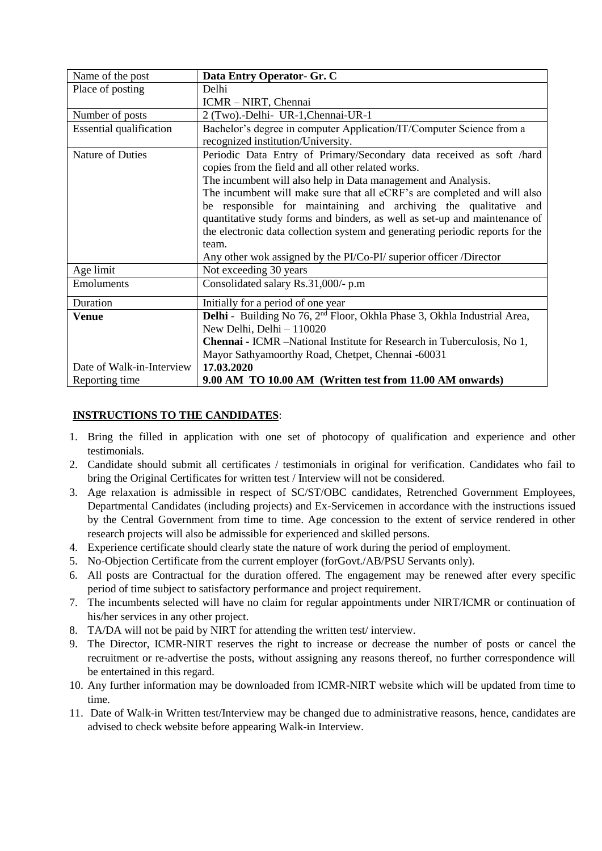| Name of the post               | Data Entry Operator- Gr. C                                                           |
|--------------------------------|--------------------------------------------------------------------------------------|
| Place of posting               | Delhi                                                                                |
|                                | ICMR - NIRT, Chennai                                                                 |
| Number of posts                | 2 (Two).-Delhi- UR-1, Chennai-UR-1                                                   |
| <b>Essential qualification</b> | Bachelor's degree in computer Application/IT/Computer Science from a                 |
|                                | recognized institution/University.                                                   |
| Nature of Duties               | Periodic Data Entry of Primary/Secondary data received as soft /hard                 |
|                                | copies from the field and all other related works.                                   |
|                                | The incumbent will also help in Data management and Analysis.                        |
|                                | The incumbent will make sure that all eCRF's are completed and will also             |
|                                | be responsible for maintaining and archiving the qualitative and                     |
|                                | quantitative study forms and binders, as well as set-up and maintenance of           |
|                                | the electronic data collection system and generating periodic reports for the        |
|                                | team.                                                                                |
|                                | Any other wok assigned by the PI/Co-PI/ superior officer /Director                   |
| Age limit                      | Not exceeding 30 years                                                               |
| Emoluments                     | Consolidated salary Rs.31,000/- p.m                                                  |
| Duration                       | Initially for a period of one year                                                   |
| <b>Venue</b>                   | Delhi - Building No 76, 2 <sup>nd</sup> Floor, Okhla Phase 3, Okhla Industrial Area, |
|                                | New Delhi, Delhi - 110020                                                            |
|                                | <b>Chennai - ICMR</b> -National Institute for Research in Tuberculosis, No 1,        |
|                                | Mayor Sathyamoorthy Road, Chetpet, Chennai -60031                                    |
| Date of Walk-in-Interview      | 17.03.2020                                                                           |
| Reporting time                 | 9.00 AM TO 10.00 AM (Written test from 11.00 AM onwards)                             |

## **INSTRUCTIONS TO THE CANDIDATES**:

- 1. Bring the filled in application with one set of photocopy of qualification and experience and other testimonials.
- 2. Candidate should submit all certificates / testimonials in original for verification. Candidates who fail to bring the Original Certificates for written test / Interview will not be considered.
- 3. Age relaxation is admissible in respect of SC/ST/OBC candidates, Retrenched Government Employees, Departmental Candidates (including projects) and Ex-Servicemen in accordance with the instructions issued by the Central Government from time to time. Age concession to the extent of service rendered in other research projects will also be admissible for experienced and skilled persons.
- 4. Experience certificate should clearly state the nature of work during the period of employment.
- 5. No-Objection Certificate from the current employer (forGovt./AB/PSU Servants only).
- 6. All posts are Contractual for the duration offered. The engagement may be renewed after every specific period of time subject to satisfactory performance and project requirement.
- 7. The incumbents selected will have no claim for regular appointments under NIRT/ICMR or continuation of his/her services in any other project.
- 8. TA/DA will not be paid by NIRT for attending the written test/ interview.
- 9. The Director, ICMR-NIRT reserves the right to increase or decrease the number of posts or cancel the recruitment or re-advertise the posts, without assigning any reasons thereof, no further correspondence will be entertained in this regard.
- 10. Any further information may be downloaded from ICMR-NIRT website which will be updated from time to time.
- 11. Date of Walk-in Written test/Interview may be changed due to administrative reasons, hence, candidates are advised to check website before appearing Walk-in Interview.